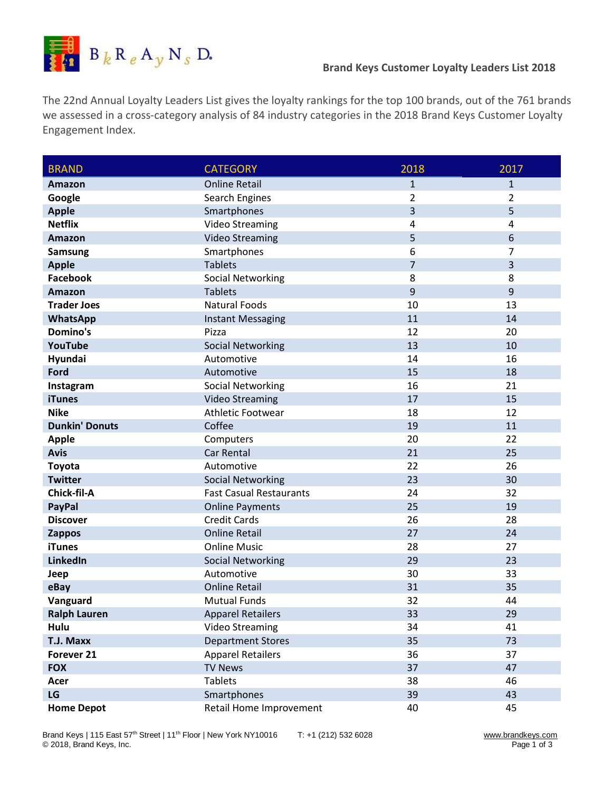

The 22nd Annual Loyalty Leaders List gives the loyalty rankings for the top 100 brands, out of the 761 brands we assessed in a cross-category analysis of 84 industry categories in the 2018 Brand Keys Customer Loyalty Engagement Index.

| <b>BRAND</b>          | <b>CATEGORY</b>                | 2018           | 2017             |
|-----------------------|--------------------------------|----------------|------------------|
| Amazon                | <b>Online Retail</b>           | $\mathbf{1}$   | $\mathbf{1}$     |
| Google                | Search Engines                 | $\overline{2}$ | $\overline{2}$   |
| <b>Apple</b>          | Smartphones                    | 3              | 5                |
| <b>Netflix</b>        | <b>Video Streaming</b>         | 4              | 4                |
| Amazon                | <b>Video Streaming</b>         | 5              | $\boldsymbol{6}$ |
| <b>Samsung</b>        | Smartphones                    | 6              | $\overline{7}$   |
| <b>Apple</b>          | <b>Tablets</b>                 | $\overline{7}$ | 3                |
| <b>Facebook</b>       | <b>Social Networking</b>       | 8              | 8                |
| Amazon                | <b>Tablets</b>                 | $\overline{9}$ | 9                |
| <b>Trader Joes</b>    | <b>Natural Foods</b>           | 10             | 13               |
| WhatsApp              | <b>Instant Messaging</b>       | 11             | 14               |
| Domino's              | Pizza                          | 12             | 20               |
| YouTube               | <b>Social Networking</b>       | 13             | 10               |
| Hyundai               | Automotive                     | 14             | 16               |
| Ford                  | Automotive                     | 15             | 18               |
| Instagram             | <b>Social Networking</b>       | 16             | 21               |
| <b>iTunes</b>         | <b>Video Streaming</b>         | 17             | 15               |
| <b>Nike</b>           | Athletic Footwear              | 18             | 12               |
| <b>Dunkin' Donuts</b> | Coffee                         | 19             | 11               |
| <b>Apple</b>          | Computers                      | 20             | 22               |
| <b>Avis</b>           | Car Rental                     | 21             | 25               |
| <b>Toyota</b>         | Automotive                     | 22             | 26               |
| <b>Twitter</b>        | <b>Social Networking</b>       | 23             | 30               |
| Chick-fil-A           | <b>Fast Casual Restaurants</b> | 24             | 32               |
| <b>PayPal</b>         | <b>Online Payments</b>         | 25             | 19               |
| <b>Discover</b>       | <b>Credit Cards</b>            | 26             | 28               |
| <b>Zappos</b>         | <b>Online Retail</b>           | 27             | 24               |
| <b>iTunes</b>         | <b>Online Music</b>            | 28             | 27               |
| LinkedIn              | <b>Social Networking</b>       | 29             | 23               |
| Jeep                  | Automotive                     | 30             | 33               |
| eBay                  | <b>Online Retail</b>           | 31             | 35               |
| Vanguard              | <b>Mutual Funds</b>            | 32             | 44               |
| <b>Ralph Lauren</b>   | <b>Apparel Retailers</b>       | 33             | 29               |
| Hulu                  | <b>Video Streaming</b>         | 34             | 41               |
| T.J. Maxx             | <b>Department Stores</b>       | 35             | 73               |
| Forever 21            | <b>Apparel Retailers</b>       | 36             | 37               |
| <b>FOX</b>            | <b>TV News</b>                 | 37             | 47               |
| Acer                  | <b>Tablets</b>                 | 38             | 46               |
| LG                    | Smartphones                    | 39             | 43               |
| <b>Home Depot</b>     | Retail Home Improvement        | 40             | 45               |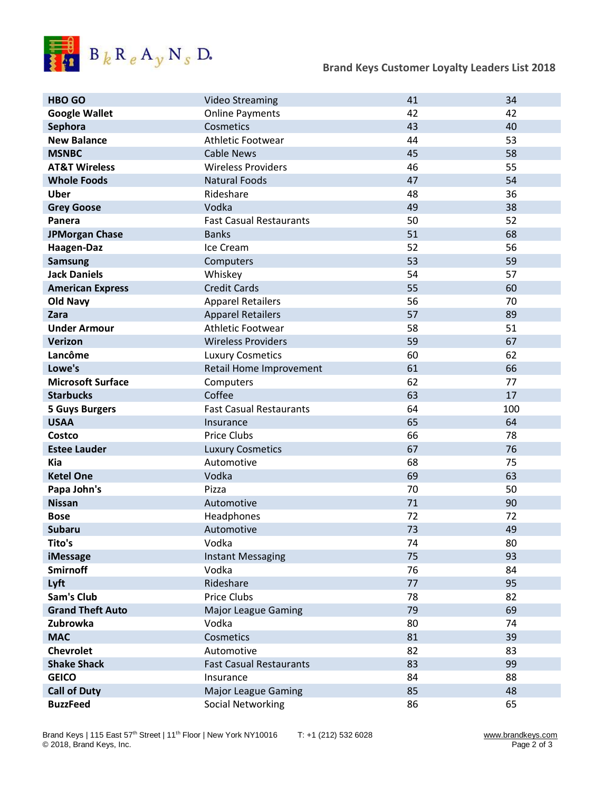

| <b>HBO GO</b>            | <b>Video Streaming</b>         | 41 | 34  |
|--------------------------|--------------------------------|----|-----|
| <b>Google Wallet</b>     | <b>Online Payments</b>         | 42 | 42  |
| Sephora                  | Cosmetics                      | 43 | 40  |
| <b>New Balance</b>       | <b>Athletic Footwear</b>       | 44 | 53  |
| <b>MSNBC</b>             | <b>Cable News</b>              | 45 | 58  |
| <b>AT&amp;T Wireless</b> | <b>Wireless Providers</b>      | 46 | 55  |
| <b>Whole Foods</b>       | <b>Natural Foods</b>           | 47 | 54  |
| <b>Uber</b>              | Rideshare                      | 48 | 36  |
| <b>Grey Goose</b>        | Vodka                          | 49 | 38  |
| Panera                   | <b>Fast Casual Restaurants</b> | 50 | 52  |
| <b>JPMorgan Chase</b>    | <b>Banks</b>                   | 51 | 68  |
| Haagen-Daz               | Ice Cream                      | 52 | 56  |
| <b>Samsung</b>           | Computers                      | 53 | 59  |
| <b>Jack Daniels</b>      | Whiskey                        | 54 | 57  |
| <b>American Express</b>  | <b>Credit Cards</b>            | 55 | 60  |
| <b>Old Navy</b>          | <b>Apparel Retailers</b>       | 56 | 70  |
| Zara                     | <b>Apparel Retailers</b>       | 57 | 89  |
| <b>Under Armour</b>      | <b>Athletic Footwear</b>       | 58 | 51  |
| <b>Verizon</b>           | <b>Wireless Providers</b>      | 59 | 67  |
| Lancôme                  | <b>Luxury Cosmetics</b>        | 60 | 62  |
| Lowe's                   | Retail Home Improvement        | 61 | 66  |
| <b>Microsoft Surface</b> | Computers                      | 62 | 77  |
| <b>Starbucks</b>         | Coffee                         | 63 | 17  |
|                          |                                |    |     |
| <b>5 Guys Burgers</b>    | <b>Fast Casual Restaurants</b> | 64 | 100 |
| <b>USAA</b>              | Insurance                      | 65 | 64  |
| <b>Costco</b>            | Price Clubs                    | 66 | 78  |
| <b>Estee Lauder</b>      | <b>Luxury Cosmetics</b>        | 67 | 76  |
| <b>Kia</b>               | Automotive                     | 68 | 75  |
| <b>Ketel One</b>         | Vodka                          | 69 | 63  |
| Papa John's              | Pizza                          | 70 | 50  |
| <b>Nissan</b>            | Automotive                     | 71 | 90  |
| <b>Bose</b>              | Headphones                     | 72 | 72  |
| <b>Subaru</b>            | Automotive                     | 73 | 49  |
| Tito's                   | Vodka                          | 74 | 80  |
| <b>iMessage</b>          | <b>Instant Messaging</b>       | 75 | 93  |
| <b>Smirnoff</b>          | Vodka                          | 76 | 84  |
| Lyft                     | Rideshare                      | 77 | 95  |
| Sam's Club               | <b>Price Clubs</b>             | 78 | 82  |
| <b>Grand Theft Auto</b>  | <b>Major League Gaming</b>     | 79 | 69  |
| Zubrowka                 | Vodka                          | 80 | 74  |
| <b>MAC</b>               | Cosmetics                      | 81 | 39  |
| <b>Chevrolet</b>         | Automotive                     | 82 | 83  |
| <b>Shake Shack</b>       | <b>Fast Casual Restaurants</b> | 83 | 99  |
| <b>GEICO</b>             | Insurance                      | 84 | 88  |
| <b>Call of Duty</b>      | <b>Major League Gaming</b>     | 85 | 48  |